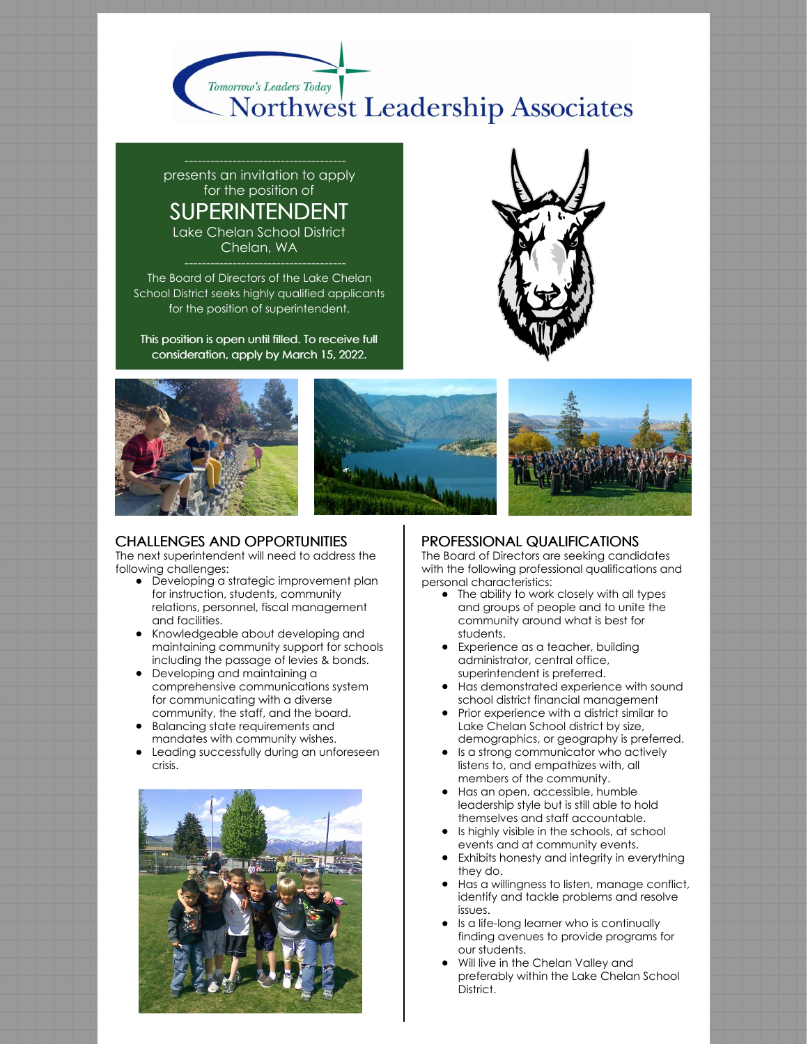

presents an invitation to apply for the position of SUPERINTENDENT Lake Chelan School District Chelan, WA

The Board of Directors of the Lake Chelan School District seeks highly qualified applicants for the position of superintendent.

This position is open until filled. To receive full consideration, apply by March 15, 2022.









#### CHALLENGES AND OPPORTUNITIES

The next superintendent will need to address the following challenges:

- Developing a strategic improvement plan for instruction, students, community relations, personnel, fiscal management and facilities.
- Knowledgeable about developing and maintaining community support for schools including the passage of levies & bonds.
- Developing and maintaining a comprehensive communications system for communicating with a diverse community, the staff, and the board.
- Balancing state requirements and mandates with community wishes.
- Leading successfully during an unforeseen crisis.



#### PROFESSIONAL QUALIFICATIONS

The Board of Directors are seeking candidates with the following professional qualifications and personal characteristics:

- The ability to work closely with all types and groups of people and to unite the community around what is best for students.
- Experience as a teacher, building administrator, central office, superintendent is preferred.
- Has demonstrated experience with sound school district financial management
- Prior experience with a district similar to Lake Chelan School district by size, demographics, or geography is preferred.
- **Is a strong communicator who actively** listens to, and empathizes with, all members of the community.
- Has an open, accessible, humble leadership style but is still able to hold themselves and staff accountable.
- Is highly visible in the schools, at school events and at community events.
- Exhibits honesty and integrity in everything they do.
- Has a willingness to listen, manage conflict, identify and tackle problems and resolve issues.
- **•** Is a life-long learner who is continually finding avenues to provide programs for our students.
- Will live in the Chelan Valley and preferably within the Lake Chelan School District.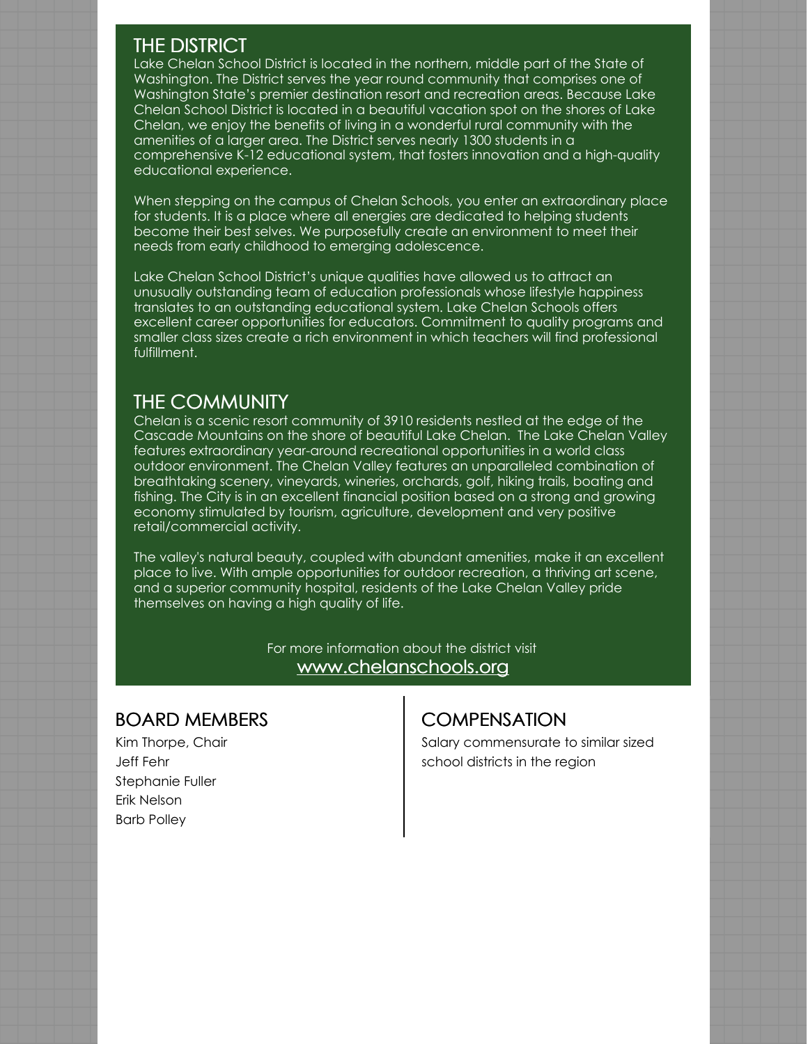## THE DISTRICT

Lake Chelan School District is located in the northern, middle part of the State of Washington. The District serves the year round community that comprises one of Washington State's premier destination resort and recreation areas. Because Lake Chelan School District is located in a beautiful vacation spot on the shores of Lake Chelan, we enjoy the benefits of living in a wonderful rural community with the amenities of a larger area. The District serves nearly 1300 students in a comprehensive K-12 educational system, that fosters innovation and a high-quality educational experience.

When stepping on the campus of Chelan Schools, you enter an extraordinary place for students. It is a place where all energies are dedicated to helping students become their best selves. We purposefully create an environment to meet their needs from early childhood to emerging adolescence.

Lake Chelan School District's unique qualities have allowed us to attract an unusually outstanding team of education professionals whose lifestyle happiness translates to an outstanding educational system. Lake Chelan Schools offers excellent career opportunities for educators. Commitment to quality programs and smaller class sizes create a rich environment in which teachers will find professional fulfillment.

## THE COMMUNITY

Chelan is a scenic resort community of 3910 residents nestled at the edge of the Cascade Mountains on the shore of beautiful Lake Chelan. The Lake Chelan Valley features extraordinary year-around recreational opportunities in a world class outdoor environment. The Chelan Valley features an unparalleled combination of breathtaking scenery, vineyards, wineries, orchards, golf, hiking trails, boating and fishing. The City is in an excellent financial position based on a strong and growing economy stimulated by tourism, agriculture, development and very positive retail/commercial activity.

The valley's natural beauty, coupled with abundant amenities, make it an excellent place to live. With ample opportunities for outdoor recreation, a thriving art scene, and a superior community hospital, residents of the Lake Chelan Valley pride themselves on having a high quality of life.

> For more information about the district visit [www.chelanschools.org](https://www.chelanschools.org/)

### BOARD MEMBERS

Kim Thorpe, Chair Jeff Fehr Stephanie Fuller Erik Nelson Barb Polley

# **COMPENSATION**

Salary commensurate to similar sized school districts in the region